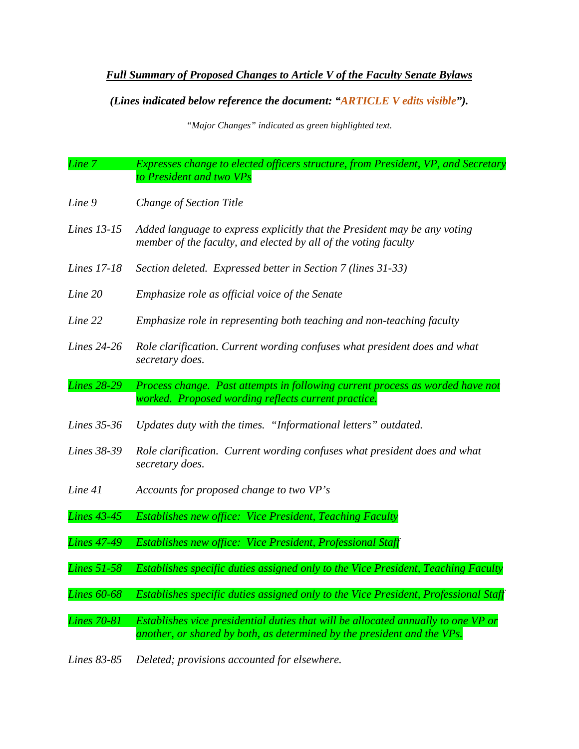## *Full Summary of Proposed Changes to Article V of the Faculty Senate Bylaws*

## *(Lines indicated below reference the document: "ARTICLE V edits visible").*

*"Major Changes" indicated as green highlighted text.*

- *Line 7 Expresses change to elected officers structure, from President, VP, and Secretary to President and two VPs*
- *Line 9 Change of Section Title*
- *Lines 13-15 Added language to express explicitly that the President may be any voting member of the faculty, and elected by all of the voting faculty*
- *Lines 17-18 Section deleted. Expressed better in Section 7 (lines 31-33)*
- *Line 20 Emphasize role as official voice of the Senate*
- *Line 22 Emphasize role in representing both teaching and non-teaching faculty*
- *Lines 24-26 Role clarification. Current wording confuses what president does and what secretary does.*
- *Lines 28-29 Process change. Past attempts in following current process as worded have not worked. Proposed wording reflects current practice.*
- *Lines 35-36 Updates duty with the times. "Informational letters" outdated.*
- *Lines 38-39 Role clarification. Current wording confuses what president does and what secretary does.*
- *Line 41 Accounts for proposed change to two VP's*
- *Lines 43-45 Establishes new office: Vice President, Teaching Faculty*
- *Lines 47-49 Establishes new office: Vice President, Professional Staff*
- *Lines 51-58 Establishes specific duties assigned only to the Vice President, Teaching Faculty*
- *Lines 60-68 Establishes specific duties assigned only to the Vice President, Professional Staff*
- *Lines 70-81 Establishes vice presidential duties that will be allocated annually to one VP or another, or shared by both, as determined by the president and the VPs.*
- *Lines 83-85 Deleted; provisions accounted for elsewhere.*